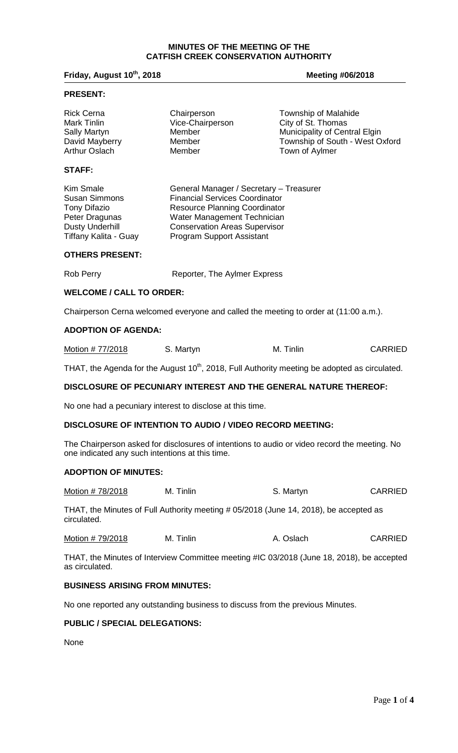#### **MINUTES OF THE MEETING OF THE CATFISH CREEK CONSERVATION AUTHORITY**

#### **Friday, August 10th, 2018 Meeting #06/2018**

#### **PRESENT:**

| <b>Rick Cerna</b>                                                 | Chairperson                        | <b>Township of Malahide</b>     |
|-------------------------------------------------------------------|------------------------------------|---------------------------------|
| <b>Mark Tinlin</b>                                                | Vice-Chairperson                   | City of St. Thomas              |
| <b>Sally Martyn</b>                                               | Member                             | Municipality of Central Elgin   |
| David Mayberry                                                    | Member                             | Township of South - West Oxford |
| <b>Arthur Oslach</b><br><b>STAFF:</b><br>$\cdots$ $\sim$ $\cdots$ | Member<br>$\overline{\phantom{a}}$ | Town of Aylmer                  |

Kim Smale General Manager / Secretary – Treasurer Susan Simmons Financial Services Coordinator<br>
Tony Difazio **Francisc Planning Coordinator**<br>
Resource Planning Coordinator Tony Difazio **Resource Planning Coordinator**<br>
Peter Dragunas **Mater Management Technician** Peter Dragunas Water Management Technician<br>
Dusty Underhill Conservation Areas Supervisor Dusty Underhill **Conservation Areas Supervisor**<br>Tiffany Kalita - Guay **Conservation Cupport Assistant** Program Support Assistant

# **OTHERS PRESENT:**

| Rob Perry | Reporter, The Aylmer Express |
|-----------|------------------------------|
|           |                              |
|           |                              |

#### **WELCOME / CALL TO ORDER:**

Chairperson Cerna welcomed everyone and called the meeting to order at (11:00 a.m.).

#### **ADOPTION OF AGENDA:**

|  | Motion # 77/2018 | S. Martyn | M. Tinlin | <b>CARRIED</b> |
|--|------------------|-----------|-----------|----------------|
|--|------------------|-----------|-----------|----------------|

THAT, the Agenda for the August 10<sup>th</sup>, 2018, Full Authority meeting be adopted as circulated.

#### **DISCLOSURE OF PECUNIARY INTEREST AND THE GENERAL NATURE THEREOF:**

No one had a pecuniary interest to disclose at this time.

## **DISCLOSURE OF INTENTION TO AUDIO / VIDEO RECORD MEETING:**

The Chairperson asked for disclosures of intentions to audio or video record the meeting. No one indicated any such intentions at this time.

#### **ADOPTION OF MINUTES:**

| Motion # 78/2018 | M. Tinlin | S. Martyn | <b>CARRIED</b> |
|------------------|-----------|-----------|----------------|
|------------------|-----------|-----------|----------------|

THAT, the Minutes of Full Authority meeting # 05/2018 (June 14, 2018), be accepted as circulated.

| Motion #79/2018 | M. Tinlin | A. Oslach | <b>CARRIED</b> |
|-----------------|-----------|-----------|----------------|
|-----------------|-----------|-----------|----------------|

THAT, the Minutes of Interview Committee meeting #IC 03/2018 (June 18, 2018), be accepted as circulated.

### **BUSINESS ARISING FROM MINUTES:**

No one reported any outstanding business to discuss from the previous Minutes.

# **PUBLIC / SPECIAL DELEGATIONS:**

None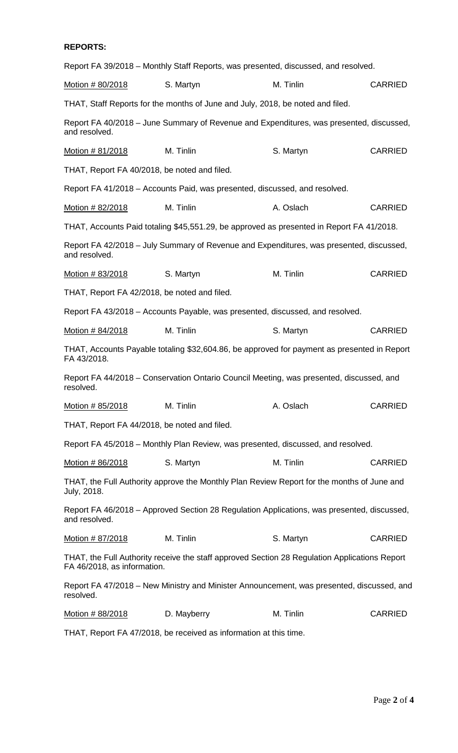# **REPORTS:**

|                                              | Report FA 39/2018 – Monthly Staff Reports, was presented, discussed, and resolved.            |           |                |
|----------------------------------------------|-----------------------------------------------------------------------------------------------|-----------|----------------|
| Motion # 80/2018                             | S. Martyn                                                                                     | M. Tinlin | <b>CARRIED</b> |
|                                              | THAT, Staff Reports for the months of June and July, 2018, be noted and filed.                |           |                |
| and resolved.                                | Report FA 40/2018 – June Summary of Revenue and Expenditures, was presented, discussed,       |           |                |
| <u>Motion # 81/2018</u>                      | M. Tinlin                                                                                     | S. Martyn | <b>CARRIED</b> |
| THAT, Report FA 40/2018, be noted and filed. |                                                                                               |           |                |
|                                              | Report FA 41/2018 – Accounts Paid, was presented, discussed, and resolved.                    |           |                |
| Motion # 82/2018                             | M. Tinlin                                                                                     | A. Oslach | <b>CARRIED</b> |
|                                              | THAT, Accounts Paid totaling \$45,551.29, be approved as presented in Report FA 41/2018.      |           |                |
| and resolved.                                | Report FA 42/2018 - July Summary of Revenue and Expenditures, was presented, discussed,       |           |                |
| Motion # 83/2018                             | S. Martyn                                                                                     | M. Tinlin | <b>CARRIED</b> |
| THAT, Report FA 42/2018, be noted and filed. |                                                                                               |           |                |
|                                              | Report FA 43/2018 – Accounts Payable, was presented, discussed, and resolved.                 |           |                |
| <u>Motion # 84/2018</u>                      | M. Tinlin                                                                                     | S. Martyn | <b>CARRIED</b> |
| FA 43/2018.                                  | THAT, Accounts Payable totaling \$32,604.86, be approved for payment as presented in Report   |           |                |
| resolved.                                    | Report FA 44/2018 – Conservation Ontario Council Meeting, was presented, discussed, and       |           |                |
| Motion # 85/2018                             | M. Tinlin                                                                                     | A. Oslach | <b>CARRIED</b> |
| THAT, Report FA 44/2018, be noted and filed. |                                                                                               |           |                |
|                                              | Report FA 45/2018 – Monthly Plan Review, was presented, discussed, and resolved.              |           |                |
| Motion # 86/2018                             | S. Martyn                                                                                     | M. Tinlin | <b>CARRIED</b> |
| July, 2018.                                  | THAT, the Full Authority approve the Monthly Plan Review Report for the months of June and    |           |                |
| and resolved.                                | Report FA 46/2018 - Approved Section 28 Regulation Applications, was presented, discussed,    |           |                |
| Motion # 87/2018                             | M. Tinlin                                                                                     | S. Martyn | <b>CARRIED</b> |
| FA 46/2018, as information.                  | THAT, the Full Authority receive the staff approved Section 28 Regulation Applications Report |           |                |
| resolved.                                    | Report FA 47/2018 – New Ministry and Minister Announcement, was presented, discussed, and     |           |                |
| <u>Motion # 88/2018</u>                      | D. Mayberry                                                                                   | M. Tinlin | <b>CARRIED</b> |
|                                              | $T111T$ Depart $\Gamma$ $\Lambda$ 47/0040 he resolved as information of this time             |           |                |

THAT, Report FA 47/2018, be received as information at this time.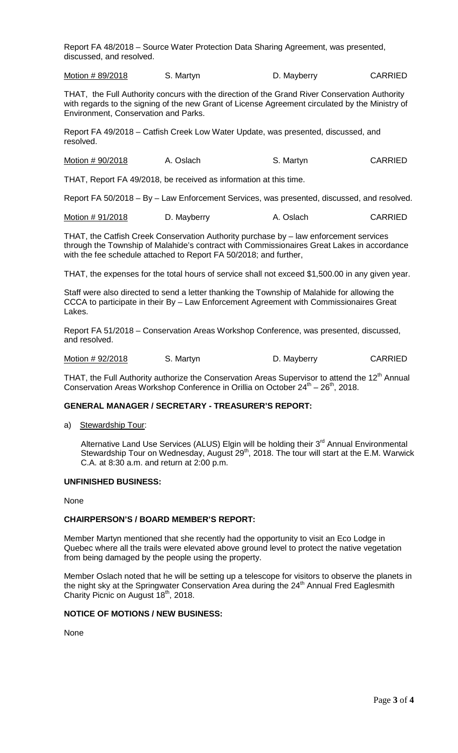Report FA 48/2018 – Source Water Protection Data Sharing Agreement, was presented, discussed, and resolved.

Motion # 89/2018 S. Martyn D. Mayberry CARRIED

THAT, the Full Authority concurs with the direction of the Grand River Conservation Authority with regards to the signing of the new Grant of License Agreement circulated by the Ministry of Environment, Conservation and Parks.

Report FA 49/2018 – Catfish Creek Low Water Update, was presented, discussed, and resolved.

Motion # 90/2018 A. Oslach S. Martyn S. Martyn CARRIED

THAT, Report FA 49/2018, be received as information at this time.

Report FA 50/2018 – By – Law Enforcement Services, was presented, discussed, and resolved.

Motion # 91/2018 D. Mayberry A. Oslach CARRIED

THAT, the Catfish Creek Conservation Authority purchase by – law enforcement services through the Township of Malahide's contract with Commissionaires Great Lakes in accordance with the fee schedule attached to Report FA 50/2018; and further,

THAT, the expenses for the total hours of service shall not exceed \$1,500.00 in any given year.

Staff were also directed to send a letter thanking the Township of Malahide for allowing the CCCA to participate in their By – Law Enforcement Agreement with Commissionaires Great Lakes.

Report FA 51/2018 – Conservation Areas Workshop Conference, was presented, discussed, and resolved.

Motion # 92/2018 S. Martyn D. Mayberry CARRIED

THAT, the Full Authority authorize the Conservation Areas Supervisor to attend the 12<sup>th</sup> Annual Conservation Areas Workshop Conference in Orillia on October  $24<sup>th</sup> - 26<sup>th</sup>$ , 2018.

## **GENERAL MANAGER / SECRETARY - TREASURER'S REPORT:**

a) Stewardship Tour:

Alternative Land Use Services (ALUS) Elgin will be holding their  $3<sup>rd</sup>$  Annual Environmental Stewardship Tour on Wednesday, August 29<sup>th</sup>, 2018. The tour will start at the E.M. Warwick C.A. at 8:30 a.m. and return at 2:00 p.m.

#### **UNFINISHED BUSINESS:**

None

#### **CHAIRPERSON'S / BOARD MEMBER'S REPORT:**

Member Martyn mentioned that she recently had the opportunity to visit an Eco Lodge in Quebec where all the trails were elevated above ground level to protect the native vegetation from being damaged by the people using the property.

Member Oslach noted that he will be setting up a telescope for visitors to observe the planets in the night sky at the Springwater Conservation Area during the  $24<sup>th</sup>$  Annual Fred Eaglesmith Charity Picnic on August  $18<sup>th</sup>$ , 2018.

#### **NOTICE OF MOTIONS / NEW BUSINESS:**

None